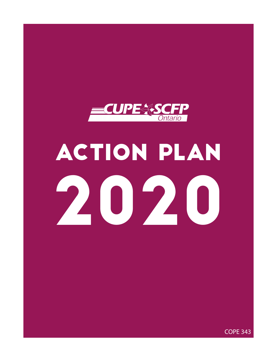

# ACTION PLAN 2020

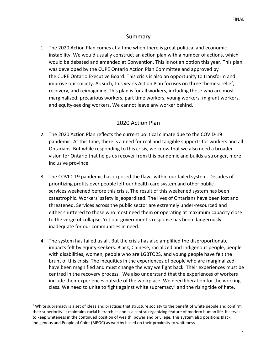# Summary

1. The 2020 Action Plan comes at a time when there is great political and economic instability. We would usually construct an action plan with a number of actions, which would be debated and amended at Convention. This is not an option this year. This plan was developed by the CUPE Ontario Action Plan Committee and approved by the CUPE Ontario Executive Board. This crisis is also an opportunity to transform and improve our society. As such, this year's Action Plan focuses on three themes: relief, recovery, and reimagining. This plan is for all workers, including those who are most marginalized: precarious workers, part time workers, young workers, migrant workers, and equity-seeking workers. We cannot leave any worker behind.

# 2020 Action Plan

- 2. The 2020 Action Plan reflects the current political climate due to the COVID-19 pandemic. At this time, there is a need for real and tangible supports for workers and all Ontarians. But while responding to this crisis, we know that we also need a broader vision for Ontario that helps us recover from this pandemic and builds a stronger, more inclusive province.
- 3. The COVID-19 pandemic has exposed the flaws within our failed system. Decades of prioritizing profits over people left our health care system and other public services weakened before this crisis. The result of this weakened system has been catastrophic. Workers' safety is jeopardized. The lives of Ontarians have been lost and threatened. Services across the public sector are extremely under-resourced and either shuttered to those who most need them or operating at maximum capacity close to the verge of collapse. Yet our government's response has been dangerously inadequate for our communities in need.
- 4. The system has failed us all. But the crisis has also amplified the disproportionate impacts felt by equity-seekers. Black, Chinese, racialized and Indigenous people, people with disabilities, women, people who are LGBTQ2S, and young people have felt the brunt of this crisis. The inequities in the experiences of people who are marginalized have been magnified and must change the way we fight back. Their experiences must be centred in the recovery process. We also understand that the experiences of workers include their experiences outside of the workplace. We need liberation for the working class. We need to unite to fight against white supremacy<sup>[1](#page-1-0)</sup> and the rising tide of hate.

<span id="page-1-0"></span><sup>&</sup>lt;sup>1</sup> White supremacy is a set of ideas and practices that structure society to the benefit of white people and confirm their superiority. It maintains racial hierarchies and is a central organizing feature of modern human life. It serves to keep whiteness in the continued position of wealth, power and privilege. This system also positions Black, Indigenous and People of Color (BIPOC) as worthy based on their proximity to whiteness.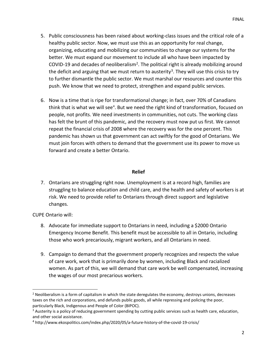- 5. Public consciousness has been raised about working-class issues and the critical role of a healthy public sector. Now, we must use this as an opportunity for real change, organizing, educating and mobilizing our communities to change our systems for the better. We must expand our movement to include all who have been impacted by COVID-19 and decades of neoliberalism<sup>[2](#page-2-0)</sup>. The political right is already mobilizing around the deficit and arguing that we must return to austerity<sup>3</sup>. They will use this crisis to try to further dismantle the public sector. We must marshal our resources and counter this push. We know that we need to protect, strengthen and expand public services.
- 6. Now is a time that is ripe for transformational change; in fact, over 70% of Canadians think that is what we will see<sup>[4](#page-2-2)</sup>. But we need the right kind of transformation, focused on people, not profits. We need investments in communities, not cuts. The working class has felt the brunt of this pandemic, and the recovery must now put us first. We cannot repeat the financial crisis of 2008 where the recovery was for the one percent. This pandemic has shown us that government can act swiftly for the good of Ontarians. We must join forces with others to demand that the government use its power to move us forward and create a better Ontario.

## **Relief**

7. Ontarians are struggling right now. Unemployment is at a record high, families are struggling to balance education and child care, and the health and safety of workers is at risk. We need to provide relief to Ontarians through direct support and legislative changes.

CUPE Ontario will:

- 8. Advocate for immediate support to Ontarians in need, including a \$2000 Ontario Emergency Income Benefit. This benefit must be accessible to all in Ontario, including those who work precariously, migrant workers, and all Ontarians in need.
- 9. Campaign to demand that the government properly recognizes and respects the value of care work, work that is primarily done by women, including Black and racialized women. As part of this, we will demand that care work be well compensated, increasing the wages of our most precarious workers.

<span id="page-2-0"></span> $<sup>2</sup>$  Neoliberalism is a form of capitalism in which the state deregulates the economy, destroys unions, decreases</sup> taxes on the rich and corporations, and defunds public goods, all while repressing and policing the poor, particularly Black, Indigenous and People of Color (BIPOC).

<span id="page-2-1"></span><sup>&</sup>lt;sup>3</sup> Austerity is a policy of reducing government spending by cutting public services such as health care, education, and other social assistance.

<span id="page-2-2"></span><sup>4</sup> http://www.ekospolitics.com/index.php/2020/05/a-future-history-of-the-covid-19-crisis/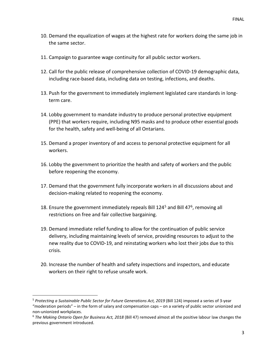- 10. Demand the equalization of wages at the highest rate for workers doing the same job in the same sector.
- 11. Campaign to guarantee wage continuity for all public sector workers.
- 12. Call for the public release of comprehensive collection of COVID-19 demographic data, including race-based data, including data on testing, infections, and deaths.
- 13. Push for the government to immediately implement legislated care standards in longterm care.
- 14. Lobby government to mandate industry to produce personal protective equipment (PPE) that workers require, including N95 masks and to produce other essential goods for the health, safety and well-being of all Ontarians.
- 15. Demand a proper inventory of and access to personal protective equipment for all workers.
- 16. Lobby the government to prioritize the health and safety of workers and the public before reopening the economy.
- 17. Demand that the government fully incorporate workers in all discussions about and decision-making related to reopening the economy.
- 18. Ensure the government immediately repeals Bill  $124^5$  $124^5$  and Bill 47<sup>6</sup>, removing all restrictions on free and fair collective bargaining.
- 19. Demand immediate relief funding to allow for the continuation of public service delivery, including maintaining levels of service, providing resources to adjust to the new reality due to COVID-19, and reinstating workers who lost their jobs due to this crisis.
- 20. Increase the number of health and safety inspections and inspectors, and educate workers on their right to refuse unsafe work.

<span id="page-3-0"></span><sup>&</sup>lt;sup>5</sup> Protecting a Sustainable Public Sector for Future Generations Act, 2019 (Bill 124) imposed a series of 3-year "moderation periods" – in the form of salary and compensation caps – on a variety of public sector unionized and non-unionized workplaces.

<span id="page-3-1"></span><sup>6</sup> *The Making Ontario Open for Business Act, 2018* (Bill 47) removed almost all the positive labour law changes the previous government introduced.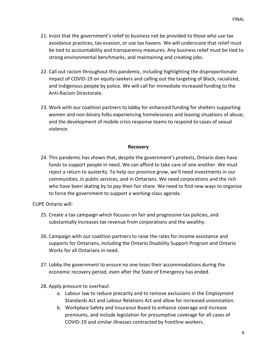- 21. Insist that the government's relief to business not be provided to those who use tax avoidance practices, tax evasion, or use tax havens. We will underscore that relief must be tied to accountability and transparency measures. Any business relief must be tied to strong environmental benchmarks, and maintaining and creating jobs.
- 22. Call out racism throughout this pandemic, including highlighting the disproportionate impact of COVID-19 on equity-seekers and calling out the targeting of Black, racialized, and Indigenous people by police. We will call for immediate increased funding to the Anti-Racism Directorate.
- 23. Work with our coalition partners to lobby for enhanced funding for shelters supporting women and non-binary folks experiencing homelessness and leaving situations of abuse, and the development of mobile crisis response teams to respond to cases of sexual violence.

### **Recovery**

24. This pandemic has shown that, despite the government's protests, Ontario does have funds to support people in need. We can afford to take care of one another. We must reject a return to austerity. To help our province grow, we'll need investments in our communities, in public services, and in Ontarians. We need corporations and the rich who have been skating by to pay their fair share. We need to find new ways to organize to force the government to support a working-class agenda.

CUPE Ontario will:

- 25. Create a tax campaign which focuses on fair and progressive tax policies, and substantially increases tax revenue from corporations and the wealthy.
- 26. Campaign with our coalition partners to raise the rates for income assistance and supports for Ontarians, including the Ontario Disability Support Program and Ontario Works for all Ontarians in need.
- 27. Lobby the government to ensure no one loses their accommodations during the economic recovery period, even after the State of Emergency has ended.
- 28. Apply pressure to overhaul:
	- a. Labour law to reduce precarity and to remove exclusions in the Employment Standards Act and Labour Relations Act and allow for increased unionization.
	- b. Workplace Safety and Insurance Board to enhance coverage and increase premiums, and include legislation for presumptive coverage for all cases of COVID-19 and similar illnesses contracted by frontline workers.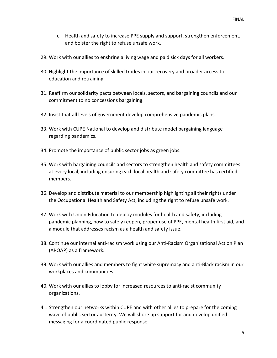- c. Health and safety to increase PPE supply and support, strengthen enforcement, and bolster the right to refuse unsafe work.
- 29. Work with our allies to enshrine a living wage and paid sick days for all workers.
- 30. Highlight the importance of skilled trades in our recovery and broader access to education and retraining.
- 31. Reaffirm our solidarity pacts between locals, sectors, and bargaining councils and our commitment to no concessions bargaining.
- 32. Insist that all levels of government develop comprehensive pandemic plans.
- 33. Work with CUPE National to develop and distribute model bargaining language regarding pandemics.
- 34. Promote the importance of public sector jobs as green jobs.
- 35. Work with bargaining councils and sectors to strengthen health and safety committees at every local, including ensuring each local health and safety committee has certified members.
- 36. Develop and distribute material to our membership highlighting all their rights under the Occupational Health and Safety Act, including the right to refuse unsafe work.
- 37. Work with Union Education to deploy modules for health and safety, including pandemic planning, how to safely reopen, proper use of PPE, mental health first aid, and a module that addresses racism as a health and safety issue.
- 38. Continue our internal anti-racism work using our Anti-Racism Organizational Action Plan (AROAP) as a framework.
- 39. Work with our allies and members to fight white supremacy and anti-Black racism in our workplaces and communities.
- 40. Work with our allies to lobby for increased resources to anti-racist community organizations.
- 41. Strengthen our networks within CUPE and with other allies to prepare for the coming wave of public sector austerity. We will shore up support for and develop unified messaging for a coordinated public response.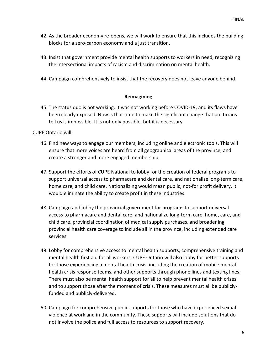- 42. As the broader economy re-opens, we will work to ensure that this includes the building blocks for a zero-carbon economy and a just transition.
- 43. Insist that government provide mental health supports to workers in need, recognizing the intersectional impacts of racism and discrimination on mental health.
- 44. Campaign comprehensively to insist that the recovery does not leave anyone behind.

### **Reimagining**

45. The status quo is not working. It was not working before COVID-19, and its flaws have been clearly exposed. Now is that time to make the significant change that politicians tell us is impossible. It is not only possible, but it is necessary.

CUPE Ontario will:

- 46. Find new ways to engage our members, including online and electronic tools. This will ensure that more voices are heard from all geographical areas of the province, and create a stronger and more engaged membership.
- 47. Support the efforts of CUPE National to lobby for the creation of federal programs to support universal access to pharmacare and dental care, and nationalize long-term care, home care, and child care. Nationalizing would mean public, not-for profit delivery. It would eliminate the ability to create profit in these industries.
- 48. Campaign and lobby the provincial government for programs to support universal access to pharmacare and dental care, and nationalize long-term care, home, care, and child care, provincial coordination of medical supply purchases, and broadening provincial health care coverage to include all in the province, including extended care services.
- 49. Lobby for comprehensive access to mental health supports, comprehensive training and mental health first aid for all workers. CUPE Ontario will also lobby for better supports for those experiencing a mental health crisis, including the creation of mobile mental health crisis response teams, and other supports through phone lines and texting lines. There must also be mental health support for all to help prevent mental health crises and to support those after the moment of crisis. These measures must all be publiclyfunded and publicly-delivered.
- 50. Campaign for comprehensive public supports for those who have experienced sexual violence at work and in the community. These supports will include solutions that do not involve the police and full access to resources to support recovery.